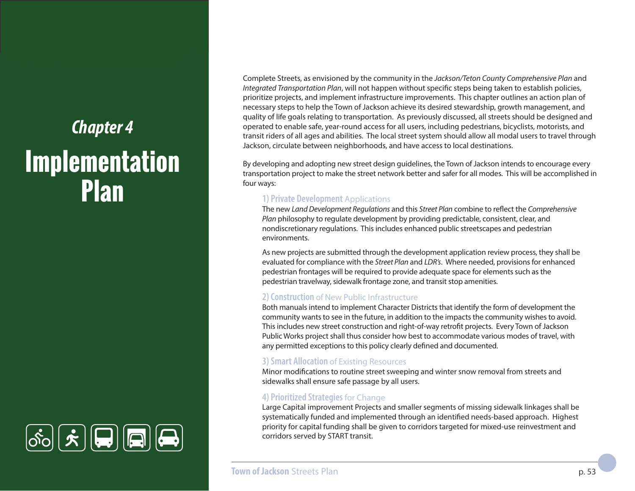# *Chapter 4* **Implementation Plan**



Complete Streets, as envisioned by the community in the *Jackson/Teton County Comprehensive Plan* and *Integrated Transportation Plan*, will not happen without specific steps being taken to establish policies, prioritize projects, and implement infrastructure improvements. This chapter outlines an action plan of necessary steps to help the Town of Jackson achieve its desired stewardship, growth management, and quality of life goals relating to transportation. As previously discussed, all streets should be designed and operated to enable safe, year-round access for all users, including pedestrians, bicyclists, motorists, and transit riders of all ages and abilities. The local street system should allow all modal users to travel through Jackson, circulate between neighborhoods, and have access to local destinations.

By developing and adopting new street design guidelines, the Town of Jackson intends to encourage every transportation project to make the street network better and safer for all modes. This will be accomplished in four ways:

#### **1) Private Development** Applications

The new *Land Development Regulations* and this *Street Plan* combine to reflect the *Comprehensive Plan* philosophy to regulate development by providing predictable, consistent, clear, and nondiscretionary regulations. This includes enhanced public streetscapes and pedestrian environments.

As new projects are submitted through the development application review process, they shall be evaluated for compliance with the *Street Plan* and *LDR's*. Where needed, provisions for enhanced pedestrian frontages will be required to provide adequate space for elements such as the pedestrian travelway, sidewalk frontage zone, and transit stop amenities.

#### **2) Construction** of New Public Infrastructure

Both manuals intend to implement Character Districts that identify the form of development the community wants to see in the future, in addition to the impacts the community wishes to avoid. This includes new street construction and right-of-way retrofit projects. Every Town of Jackson Public Works project shall thus consider how best to accommodate various modes of travel, with any permitted exceptions to this policy clearly defined and documented.

## **3) Smart Allocation** of Existing Resources

Minor modifications to routine street sweeping and winter snow removal from streets and sidewalks shall ensure safe passage by all users.

## **4) Prioritized Strategies** for Change

Large Capital improvement Projects and smaller segments of missing sidewalk linkages shall be systematically funded and implemented through an identified needs-based approach. Highest priority for capital funding shall be given to corridors targeted for mixed-use reinvestment and corridors served by START transit.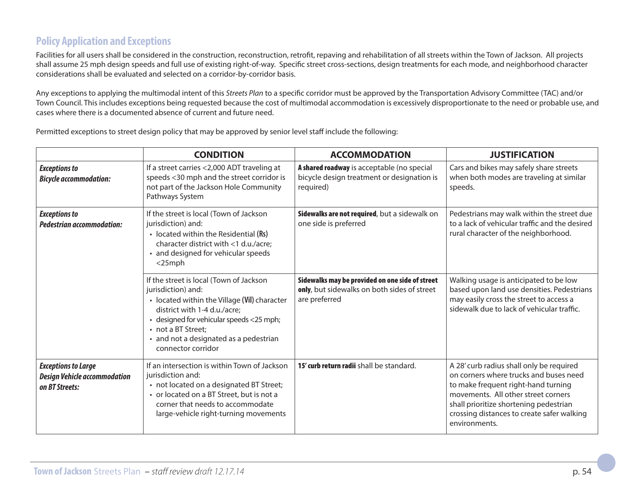# **Policy Application and Exceptions**

Facilities for all users shall be considered in the construction, reconstruction, retrofit, repaving and rehabilitation of all streets within the Town of Jackson. All projects shall assume 25 mph design speeds and full use of existing right-of-way. Specific street cross-sections, design treatments for each mode, and neighborhood character considerations shall be evaluated and selected on a corridor-by-corridor basis.

Any exceptions to applying the multimodal intent of this *Streets Plan* to a specific corridor must be approved by the Transportation Advisory Committee (TAC) and/or Town Council. This includes exceptions being requested because the cost of multimodal accommodation is excessively disproportionate to the need or probable use, and cases where there is a documented absence of current and future need.

Permitted exceptions to street design policy that may be approved by senior level staff include the following:

|                                                                                     | <b>CONDITION</b>                                                                                                                                                                                                                                                                | <b>ACCOMMODATION</b>                                                                                            | <b>JUSTIFICATION</b>                                                                                                                                                                                                                                                      |
|-------------------------------------------------------------------------------------|---------------------------------------------------------------------------------------------------------------------------------------------------------------------------------------------------------------------------------------------------------------------------------|-----------------------------------------------------------------------------------------------------------------|---------------------------------------------------------------------------------------------------------------------------------------------------------------------------------------------------------------------------------------------------------------------------|
| <b>Exceptions to</b><br><b>Bicycle accommodation:</b>                               | If a street carries <2,000 ADT traveling at<br>speeds <30 mph and the street corridor is<br>not part of the Jackson Hole Community<br>Pathways System                                                                                                                           | A shared roadway is acceptable (no special<br>bicycle design treatment or designation is<br>required)           | Cars and bikes may safely share streets<br>when both modes are traveling at similar<br>speeds.                                                                                                                                                                            |
| <b>Exceptions to</b><br><b>Pedestrian accommodation:</b>                            | If the street is local (Town of Jackson<br>jurisdiction) and:<br>• located within the Residential (Rs)<br>character district with <1 d.u./acre;<br>• and designed for vehicular speeds<br>$<$ 25mph                                                                             | Sidewalks are not required, but a sidewalk on<br>one side is preferred                                          | Pedestrians may walk within the street due<br>to a lack of vehicular traffic and the desired<br>rural character of the neighborhood.                                                                                                                                      |
|                                                                                     | If the street is local (Town of Jackson<br>jurisdiction) and:<br>• located within the Village (Vil) character<br>district with 1-4 d.u./acre;<br>• designed for vehicular speeds <25 mph;<br>• not a BT Street;<br>• and not a designated as a pedestrian<br>connector corridor | Sidewalks may be provided on one side of street<br>only, but sidewalks on both sides of street<br>are preferred | Walking usage is anticipated to be low<br>based upon land use densities. Pedestrians<br>may easily cross the street to access a<br>sidewalk due to lack of vehicular traffic.                                                                                             |
| <b>Exceptions to Large</b><br><b>Design Vehicle accommodation</b><br>on BT Streets: | If an intersection is within Town of Jackson<br>jurisdiction and:<br>• not located on a designated BT Street;<br>• or located on a BT Street, but is not a<br>corner that needs to accommodate<br>large-vehicle right-turning movements                                         | 15' curb return radii shall be standard.                                                                        | A 28' curb radius shall only be required<br>on corners where trucks and buses need<br>to make frequent right-hand turning<br>movements. All other street corners<br>shall prioritize shortening pedestrian<br>crossing distances to create safer walking<br>environments. |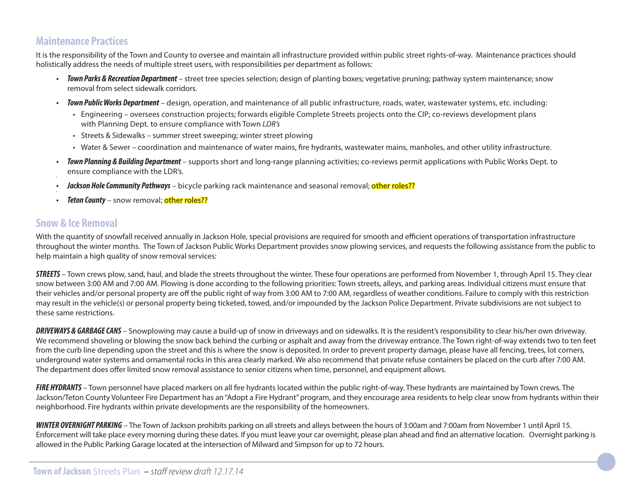# **Maintenance Practices**

It is the responsibility of the Town and County to oversee and maintain all infrastructure provided within public street rights-of-way. Maintenance practices should holistically address the needs of multiple street users, with responsibilities per department as follows:

- *Town Parks & Recreation Department* street tree species selection; design of planting boxes; vegetative pruning; pathway system maintenance; snow removal from select sidewalk corridors.
- *Town Public Works Department* design, operation, and maintenance of all public infrastructure, roads, water, wastewater systems, etc. including:
	- Engineering oversees construction projects; forwards eligible Complete Streets projects onto the CIP; co-reviews development plans with Planning Dept. to ensure compliance with Town *LDR's*
	- Streets & Sidewalks summer street sweeping; winter street plowing
	- Water & Sewer coordination and maintenance of water mains, fire hydrants, wastewater mains, manholes, and other utility infrastructure.
- *Town Planning & Building Department* supports short and long-range planning activities; co-reviews permit applications with Public Works Dept. to ensure compliance with the LDR's.
- *Jackson Hole Community Pathways* bicycle parking rack maintenance and seasonal removal; other roles??
- *Teton County* snow removal: other roles??

## **Snow & Ice Removal**

With the quantity of snowfall received annually in Jackson Hole, special provisions are required for smooth and efficient operations of transportation infrastructure throughout the winter months. The Town of Jackson Public Works Department provides snow plowing services, and requests the following assistance from the public to help maintain a high quality of snow removal services:

*STREETS* – Town crews plow, sand, haul, and blade the streets throughout the winter. These four operations are performed from November 1, through April 15. They clear snow between 3:00 AM and 7:00 AM. Plowing is done according to the following priorities: Town streets, alleys, and parking areas. Individual citizens must ensure that their vehicles and/or personal property are off the public right of way from 3:00 AM to 7:00 AM, regardless of weather conditions. Failure to comply with this restriction may result in the vehicle(s) or personal property being ticketed, towed, and/or impounded by the Jackson Police Department. Private subdivisions are not subject to these same restrictions.

*DRIVEWAYS & GARBAGE CANS* – Snowplowing may cause a build-up of snow in driveways and on sidewalks. It is the resident's responsibility to clear his/her own driveway. We recommend shoveling or blowing the snow back behind the curbing or asphalt and away from the driveway entrance. The Town right-of-way extends two to ten feet from the curb line depending upon the street and this is where the snow is deposited. In order to prevent property damage, please have all fencing, trees, lot corners, underground water systems and ornamental rocks in this area clearly marked. We also recommend that private refuse containers be placed on the curb after 7:00 AM. The department does offer limited snow removal assistance to senior citizens when time, personnel, and equipment allows.

**FIRE HYDRANTS** – Town personnel have placed markers on all fire hydrants located within the public right-of-way. These hydrants are maintained by Town crews. The Jackson/Teton County Volunteer Fire Department has an "Adopt a Fire Hydrant" program, and they encourage area residents to help clear snow from hydrants within their neighborhood. Fire hydrants within private developments are the responsibility of the homeowners.

*WINTER OVERNIGHT PARKING* – The Town of Jackson prohibits parking on all streets and alleys between the hours of 3:00am and 7:00am from November 1 until April 15. Enforcement will take place every morning during these dates. If you must leave your car overnight, please plan ahead and find an alternative location. Overnight parking is allowed in the Public Parking Garage located at the intersection of Milward and Simpson for up to 72 hours.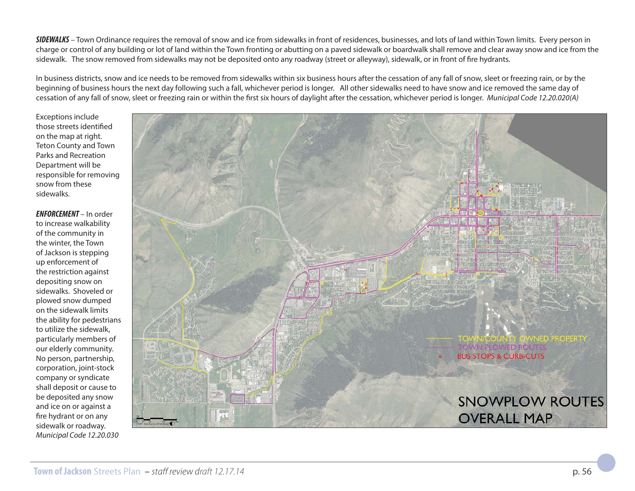*SIDEWALKS* – Town Ordinance requires the removal of snow and ice from sidewalks in front of residences, businesses, and lots of land within Town limits. Every person in charge or control of any building or lot of land within the Town fronting or abutting on a paved sidewalk or boardwalk shall remove and clear away snow and ice from the sidewalk. The snow removed from sidewalks may not be deposited onto any roadway (street or alleyway), sidewalk, or in front of fire hydrants.

In business districts, snow and ice needs to be removed from sidewalks within six business hours after the cessation of any fall of snow, sleet or freezing rain, or by the beginning of business hours the next day following such a fall, whichever period is longer. All other sidewalks need to have snow and ice removed the same day of cessation of any fall of snow, sleet or freezing rain or within the first six hours of daylight after the cessation, whichever period is longer. *Municipal Code 12.20.020(A)* 

Exceptions include those streets identified on the map at right. Teton County and Town Parks and Recreation Department will be responsible for removing snow from these sidewalks.

*ENFORCEMENT* – In order to increase walkability of the community in the winter, the Town of Jackson is stepping up enforcement of the restriction against depositing snow on sidewalks. Shoveled or plowed snow dumped on the sidewalk limits the ability for pedestrians to utilize the sidewalk, particularly members of our elderly community. No person, partnership, corporation, joint-stock company or syndicate shall deposit or cause to be deposited any snow and ice on or against a fire hydrant or on any sidewalk or roadway. *Municipal Code 12.20.030*

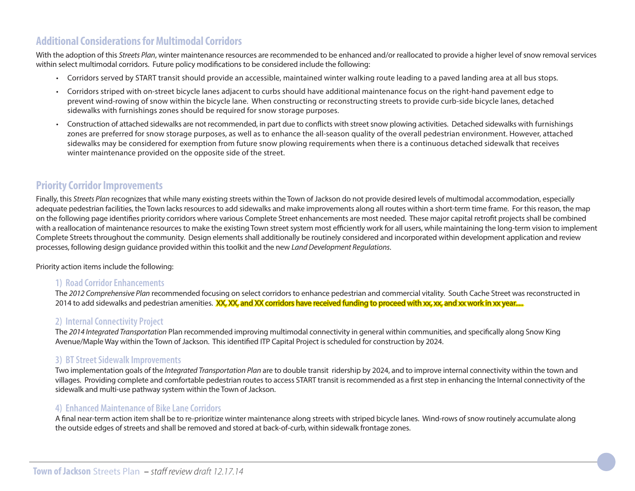## **Additional Considerations for Multimodal Corridors**

With the adoption of this *Streets Plan*, winter maintenance resources are recommended to be enhanced and/or reallocated to provide a higher level of snow removal services within select multimodal corridors. Future policy modifications to be considered include the following:

- Corridors served by START transit should provide an accessible, maintained winter walking route leading to a paved landing area at all bus stops.
- Corridors striped with on-street bicycle lanes adjacent to curbs should have additional maintenance focus on the right-hand pavement edge to prevent wind-rowing of snow within the bicycle lane. When constructing or reconstructing streets to provide curb-side bicycle lanes, detached sidewalks with furnishings zones should be required for snow storage purposes.
- Construction of attached sidewalks are not recommended, in part due to conflicts with street snow plowing activities. Detached sidewalks with furnishings zones are preferred for snow storage purposes, as well as to enhance the all-season quality of the overall pedestrian environment. However, attached sidewalks may be considered for exemption from future snow plowing requirements when there is a continuous detached sidewalk that receives winter maintenance provided on the opposite side of the street.

## **Priority Corridor Improvements**

Finally, this *Streets Plan* recognizes that while many existing streets within the Town of Jackson do not provide desired levels of multimodal accommodation, especially adequate pedestrian facilities, the Town lacks resources to add sidewalks and make improvements along all routes within a short-term time frame. For this reason, the map on the following page identifies priority corridors where various Complete Street enhancements are most needed. These major capital retrofit projects shall be combined with a reallocation of maintenance resources to make the existing Town street system most efficiently work for all users, while maintaining the long-term vision to implement Complete Streets throughout the community. Design elements shall additionally be routinely considered and incorporated within development application and review processes, following design guidance provided within this toolkit and the new *Land Development Regulations*.

Priority action items include the following:

#### **1) Road Corridor Enhancements**

The *2012 Comprehensive Plan* recommended focusing on select corridors to enhance pedestrian and commercial vitality. South Cache Street was reconstructed in 2014 to add sidewalks and pedestrian amenities. XX, XX, and XX corridors have received funding to proceed with xx, xx, and xx work in xx year.....

## **2) Internal Connectivity Project**

The 2014 Integrated Transportation Plan recommended improving multimodal connectivity in general within communities, and specifically along Snow King Avenue/Maple Way within the Town of Jackson. This identified ITP Capital Project is scheduled for construction by 2024.

#### **3) BT Street Sidewalk Improvements**

Two implementation goals of the *Integrated Transportation Plan* are to double transit ridership by 2024, and to improve internal connectivity within the town and villages. Providing complete and comfortable pedestrian routes to access START transit is recommended as a first step in enhancing the Internal connectivity of the sidewalk and multi-use pathway system within the Town of Jackson.

#### **4) Enhanced Maintenance of Bike Lane Corridors**

A final near-term action item shall be to re-prioritize winter maintenance along streets with striped bicycle lanes. Wind-rows of snow routinely accumulate along the outside edges of streets and shall be removed and stored at back-of-curb, within sidewalk frontage zones.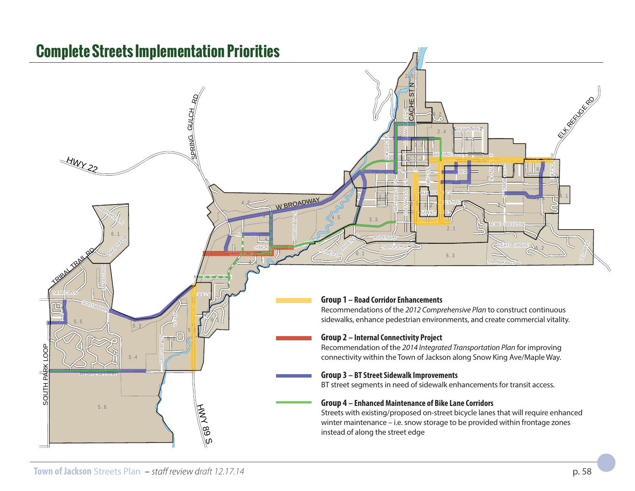